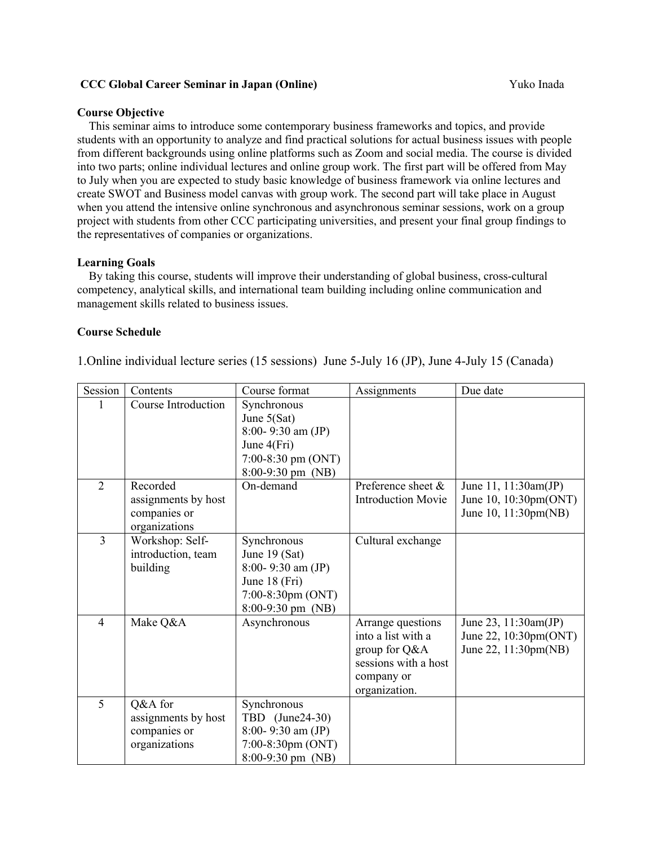#### **CCC Global Career Seminar in Japan (Online)** Yuko Inada

#### **Course Objective**

This seminar aims to introduce some contemporary business frameworks and topics, and provide students with an opportunity to analyze and find practical solutions for actual business issues with people from different backgrounds using online platforms such as Zoom and social media. The course is divided into two parts; online individual lectures and online group work. The first part will be offered from May to July when you are expected to study basic knowledge of business framework via online lectures and create SWOT and Business model canvas with group work. The second part will take place in August when you attend the intensive online synchronous and asynchronous seminar sessions, work on a group project with students from other CCC participating universities, and present your final group findings to the representatives of companies or organizations.

#### **Learning Goals**

By taking this course, students will improve their understanding of global business, cross-cultural competency, analytical skills, and international team building including online communication and management skills related to business issues.

#### **Course Schedule**

1.Online individual lecture series (15 sessions) June 5-July 16 (JP), June 4-July 15 (Canada)

| Session        | Contents                        | Course format                                         | Assignments                                     | Due date                                      |
|----------------|---------------------------------|-------------------------------------------------------|-------------------------------------------------|-----------------------------------------------|
|                | Course Introduction             | Synchronous<br>June $5(Sat)$<br>$8:00 - 9:30$ am (JP) |                                                 |                                               |
|                |                                 | June 4(Fri)                                           |                                                 |                                               |
|                |                                 | 7:00-8:30 pm $(ONT)$                                  |                                                 |                                               |
|                |                                 | 8:00-9:30 pm (NB)                                     |                                                 |                                               |
| $\overline{2}$ | Recorded<br>assignments by host | On-demand                                             | Preference sheet &<br><b>Introduction Movie</b> | June 11, 11:30am(JP)<br>June 10, 10:30pm(ONT) |
|                | companies or<br>organizations   |                                                       |                                                 | June 10, 11:30pm(NB)                          |
| $\overline{3}$ | Workshop: Self-                 | Synchronous                                           | Cultural exchange                               |                                               |
|                | introduction, team              | June $19$ (Sat)                                       |                                                 |                                               |
|                | building                        | $8:00 - 9:30$ am (JP)                                 |                                                 |                                               |
|                |                                 | June 18 (Fri)                                         |                                                 |                                               |
|                |                                 | $7:00-8:30$ pm (ONT)                                  |                                                 |                                               |
|                |                                 | $8:00-9:30 \text{ pm (NB)}$                           |                                                 |                                               |
| $\overline{4}$ | Make Q&A                        | Asynchronous                                          | Arrange questions<br>into a list with a         | June 23, 11:30am(JP)                          |
|                |                                 |                                                       | group for Q&A                                   | June 22, 10:30pm(ONT)<br>June 22, 11:30pm(NB) |
|                |                                 |                                                       | sessions with a host                            |                                               |
|                |                                 |                                                       | company or                                      |                                               |
|                |                                 |                                                       | organization.                                   |                                               |
| 5              | Q&A for                         | Synchronous                                           |                                                 |                                               |
|                | assignments by host             | TBD (June24-30)                                       |                                                 |                                               |
|                | companies or                    | $8:00 - 9:30$ am $(JP)$                               |                                                 |                                               |
|                | organizations                   | $7:00-8:30$ pm $(ONT)$                                |                                                 |                                               |
|                |                                 | $8:00-9:30$ pm (NB)                                   |                                                 |                                               |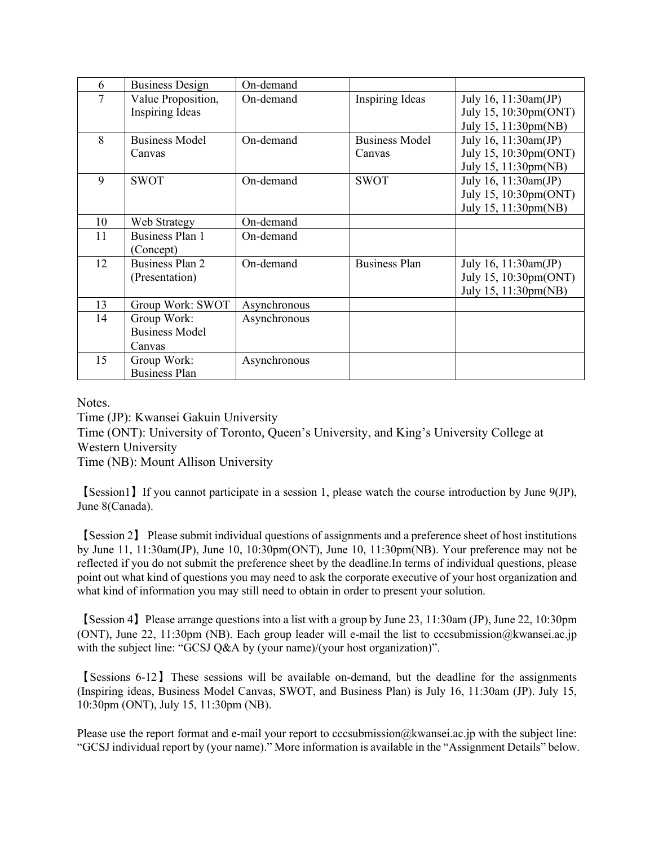| 6  | <b>Business Design</b>                         | On-demand    |                                 |                                                                       |
|----|------------------------------------------------|--------------|---------------------------------|-----------------------------------------------------------------------|
| 7  | Value Proposition,<br><b>Inspiring Ideas</b>   | On-demand    | <b>Inspiring Ideas</b>          | July 16, 11:30am(JP)<br>July 15, 10:30pm(ONT)<br>July 15, 11:30pm(NB) |
| 8  | <b>Business Model</b><br>Canvas                | On-demand    | <b>Business Model</b><br>Canvas | July 16, 11:30am(JP)<br>July 15, 10:30pm(ONT)<br>July 15, 11:30pm(NB) |
| 9  | <b>SWOT</b>                                    | On-demand    | <b>SWOT</b>                     | July 16, 11:30am(JP)<br>July 15, 10:30pm(ONT)<br>July 15, 11:30pm(NB) |
| 10 | Web Strategy                                   | On-demand    |                                 |                                                                       |
| 11 | <b>Business Plan 1</b><br>(Concept)            | On-demand    |                                 |                                                                       |
| 12 | <b>Business Plan 2</b><br>(Presentation)       | On-demand    | <b>Business Plan</b>            | July 16, 11:30am(JP)<br>July 15, 10:30pm(ONT)<br>July 15, 11:30pm(NB) |
| 13 | Group Work: SWOT                               | Asynchronous |                                 |                                                                       |
| 14 | Group Work:<br><b>Business Model</b><br>Canvas | Asynchronous |                                 |                                                                       |
| 15 | Group Work:<br><b>Business Plan</b>            | Asynchronous |                                 |                                                                       |

Notes.

Time (JP): Kwansei Gakuin University

Time (ONT): University of Toronto, Queen's University, and King's University College at Western University

Time (NB): Mount Allison University

【Session1】If you cannot participate in a session 1, please watch the course introduction by June 9(JP), June 8(Canada).

【Session 2】 Please submit individual questions of assignments and a preference sheet of host institutions by June 11, 11:30am(JP), June 10, 10:30pm(ONT), June 10, 11:30pm(NB). Your preference may not be reflected if you do not submit the preference sheet by the deadline.In terms of individual questions, please point out what kind of questions you may need to ask the corporate executive of your host organization and what kind of information you may still need to obtain in order to present your solution.

【Session 4】Please arrange questions into a list with a group by June 23, 11:30am (JP), June 22, 10:30pm (ONT), June 22, 11:30pm (NB). Each group leader will e-mail the list to cccsubmission@kwansei.ac.jp with the subject line: "GCSJ Q&A by (your name)/(your host organization)".

【Sessions 6-12】These sessions will be available on-demand, but the deadline for the assignments (Inspiring ideas, Business Model Canvas, SWOT, and Business Plan) is July 16, 11:30am (JP). July 15, 10:30pm (ONT), July 15, 11:30pm (NB).

Please use the report format and e-mail your report to cccsubmission@kwansei.ac.jp with the subject line: "GCSJ individual report by (your name)." More information is available in the "Assignment Details" below.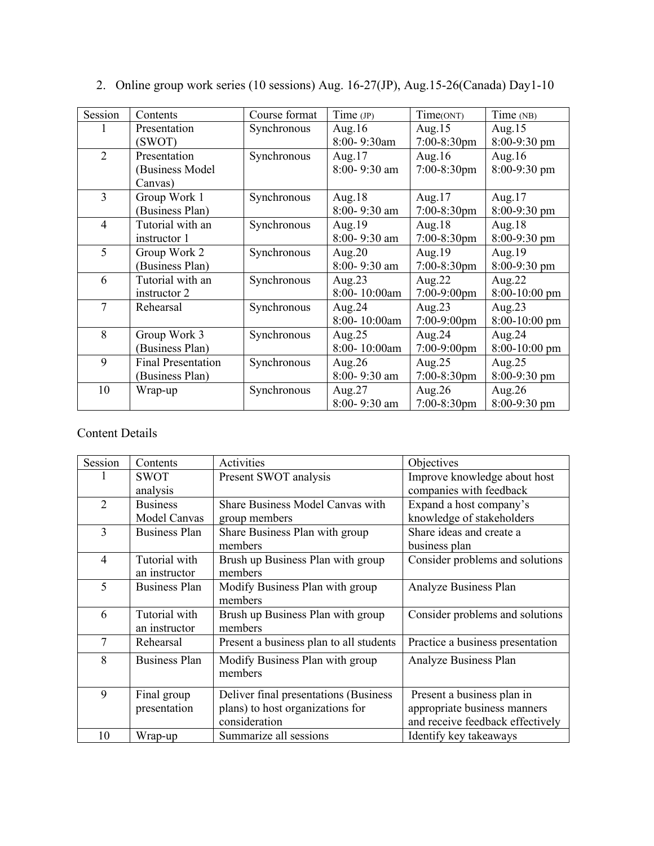| Session        | Contents                  | Course format | Time (JP)    | Time(ONT)      | Time (NB)     |
|----------------|---------------------------|---------------|--------------|----------------|---------------|
|                | Presentation              | Synchronous   | Aug. $16$    | Aug. $15$      | Aug. $15$     |
|                | (SWOT)                    |               | 8:00-9:30am  | 7:00-8:30pm    | 8:00-9:30 pm  |
| $\overline{2}$ | Presentation              | Synchronous   | Aug. $17$    | Aug. $16$      | Aug. $16$     |
|                | (Business Model           |               | 8:00-9:30 am | 7:00-8:30pm    | 8:00-9:30 pm  |
|                | Canvas)                   |               |              |                |               |
| 3              | Group Work 1              | Synchronous   | Aug. $18$    | Aug. $17$      | Aug. $17$     |
|                | (Business Plan)           |               | 8:00-9:30 am | $7:00-8:30$ pm | 8:00-9:30 pm  |
| $\overline{4}$ | Tutorial with an          | Synchronous   | Aug. $19$    | Aug. $18$      | Aug. $18$     |
|                | instructor 1              |               | 8:00-9:30 am | 7:00-8:30pm    | 8:00-9:30 pm  |
| 5              | Group Work 2              | Synchronous   | Aug. $20$    | Aug.19         | Aug.19        |
|                | (Business Plan)           |               | 8:00-9:30 am | 7:00-8:30pm    | 8:00-9:30 pm  |
| 6              | Tutorial with an          | Synchronous   | Aug. $23$    | Aug. $22$      | Aug. $22$     |
|                | instructor 2              |               | 8:00-10:00am | 7:00-9:00pm    | 8:00-10:00 pm |
| 7              | Rehearsal                 | Synchronous   | Aug. $24$    | Aug. $23$      | Aug. $23$     |
|                |                           |               | 8:00-10:00am | 7:00-9:00pm    | 8:00-10:00 pm |
| 8              | Group Work 3              | Synchronous   | Aug. $25$    | Aug.24         | Aug. $24$     |
|                | (Business Plan)           |               | 8:00-10:00am | $7:00-9:00$ pm | 8:00-10:00 pm |
| 9              | <b>Final Presentation</b> | Synchronous   | Aug. $26$    | Aug. $25$      | Aug. $25$     |
|                | (Business Plan)           |               | 8:00-9:30 am | 7:00-8:30pm    | 8:00-9:30 pm  |
| 10             | Wrap-up                   | Synchronous   | Aug. $27$    | Aug. $26$      | Aug. $26$     |
|                |                           |               | 8:00-9:30 am | $7:00-8:30$ pm | 8:00-9:30 pm  |

# 2. Online group work series (10 sessions) Aug. 16-27(JP), Aug.15-26(Canada) Day1-10

# Content Details

| Session        | Contents             | Activities                              | Objectives                       |
|----------------|----------------------|-----------------------------------------|----------------------------------|
|                | <b>SWOT</b>          | Present SWOT analysis                   | Improve knowledge about host     |
|                | analysis             |                                         | companies with feedback          |
| $\overline{2}$ | <b>Business</b>      | Share Business Model Canvas with        | Expand a host company's          |
|                | Model Canvas         | group members                           | knowledge of stakeholders        |
| 3              | <b>Business Plan</b> | Share Business Plan with group          | Share ideas and create a         |
|                |                      | members                                 | business plan                    |
| $\overline{4}$ | Tutorial with        | Brush up Business Plan with group       | Consider problems and solutions  |
|                | an instructor        | members                                 |                                  |
| 5              | <b>Business Plan</b> | Modify Business Plan with group         | Analyze Business Plan            |
|                |                      | members                                 |                                  |
| 6              | Tutorial with        | Brush up Business Plan with group       | Consider problems and solutions  |
|                | an instructor        | members                                 |                                  |
| $\overline{7}$ | Rehearsal            | Present a business plan to all students | Practice a business presentation |
| 8              | <b>Business Plan</b> | Modify Business Plan with group         | Analyze Business Plan            |
|                |                      | members                                 |                                  |
| 9              | Final group          | Deliver final presentations (Business   | Present a business plan in       |
|                | presentation         | plans) to host organizations for        | appropriate business manners     |
|                |                      | consideration                           | and receive feedback effectively |
| 10             | Wrap-up              | Summarize all sessions                  | Identify key takeaways           |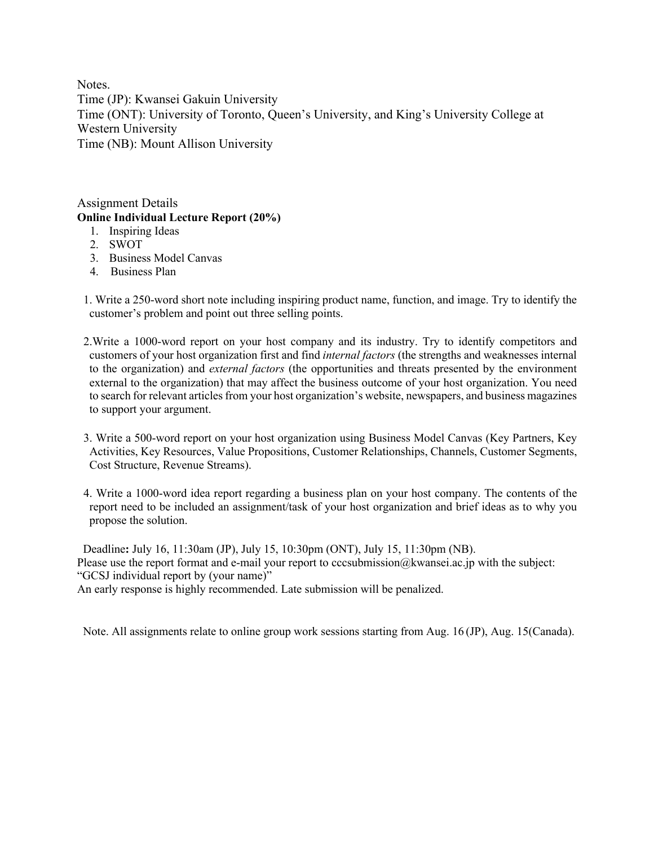Notes. Time (JP): Kwansei Gakuin University Time (ONT): University of Toronto, Queen's University, and King's University College at Western University Time (NB): Mount Allison University

Assignment Details **Online Individual Lecture Report (20%)** 

- 1. Inspiring Ideas
- 2. SWOT
- 3. Business Model Canvas
- 4. Business Plan

1. Write a 250-word short note including inspiring product name, function, and image. Try to identify the customer's problem and point out three selling points.

- 2.Write a 1000-word report on your host company and its industry. Try to identify competitors and customers of your host organization first and find *internal factors* (the strengths and weaknesses internal to the organization) and *external factors* (the opportunities and threats presented by the environment external to the organization) that may affect the business outcome of your host organization. You need to search for relevant articles from your host organization's website, newspapers, and business magazines to support your argument.
- 3. Write a 500-word report on your host organization using Business Model Canvas (Key Partners, Key Activities, Key Resources, Value Propositions, Customer Relationships, Channels, Customer Segments, Cost Structure, Revenue Streams).
- 4. Write a 1000-word idea report regarding a business plan on your host company. The contents of the report need to be included an assignment/task of your host organization and brief ideas as to why you propose the solution.

 Deadline**:** July 16, 11:30am (JP), July 15, 10:30pm (ONT), July 15, 11:30pm (NB). Please use the report format and e-mail your report to cccsubmission@kwansei.ac.jp with the subject: "GCSJ individual report by (your name)" An early response is highly recommended. Late submission will be penalized.

Note. All assignments relate to online group work sessions starting from Aug. 16 (JP), Aug. 15(Canada).